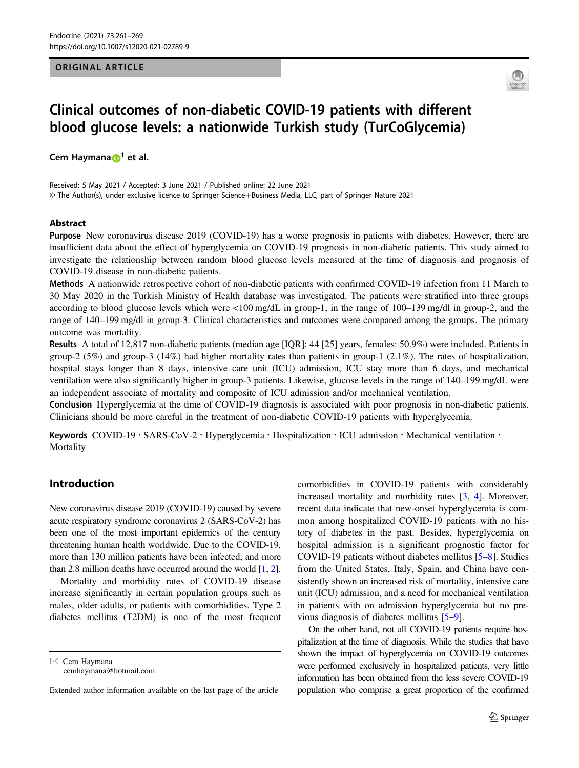## ORIGINAL ARTICLE



# Clinical outcomes of non-diabetic COVID-19 patients with different blood glucose levels: a nationwide Turkish study (TurCoGlycemia)

Cem H[a](http://orcid.org/0000-0002-6866-2364)ymana  $\mathbf{D}^1$  $\mathbf{D}^1$  et al.

Received: 5 May 2021 / Accepted: 3 June 2021 / Published online: 22 June 2021 © The Author(s), under exclusive licence to Springer Science+Business Media, LLC, part of Springer Nature 2021

## Abstract

Purpose New coronavirus disease 2019 (COVID-19) has a worse prognosis in patients with diabetes. However, there are insufficient data about the effect of hyperglycemia on COVID-19 prognosis in non-diabetic patients. This study aimed to investigate the relationship between random blood glucose levels measured at the time of diagnosis and prognosis of COVID-19 disease in non-diabetic patients.

Methods A nationwide retrospective cohort of non-diabetic patients with confirmed COVID-19 infection from 11 March to 30 May 2020 in the Turkish Ministry of Health database was investigated. The patients were stratified into three groups according to blood glucose levels which were <100 mg/dL in group-1, in the range of 100–139 mg/dl in group-2, and the range of 140–199 mg/dl in group-3. Clinical characteristics and outcomes were compared among the groups. The primary outcome was mortality.

Results A total of 12,817 non-diabetic patients (median age [IQR]: 44 [25] years, females: 50.9%) were included. Patients in group-2 (5%) and group-3 (14%) had higher mortality rates than patients in group-1 (2.1%). The rates of hospitalization, hospital stays longer than 8 days, intensive care unit (ICU) admission, ICU stay more than 6 days, and mechanical ventilation were also significantly higher in group-3 patients. Likewise, glucose levels in the range of 140–199 mg/dL were an independent associate of mortality and composite of ICU admission and/or mechanical ventilation.

Conclusion Hyperglycemia at the time of COVID-19 diagnosis is associated with poor prognosis in non-diabetic patients. Clinicians should be more careful in the treatment of non-diabetic COVID-19 patients with hyperglycemia.

Keywords COVID-19 · SARS-CoV-2 · Hyperglycemia · Hospitalization · ICU admission · Mechanical ventilation · **Mortality** 

# Introduction

New coronavirus disease 2019 (COVID-19) caused by severe acute respiratory syndrome coronavirus 2 (SARS-CoV-2) has been one of the most important epidemics of the century threatening human health worldwide. Due to the COVID-19, more than 130 million patients have been infected, and more than 2.8 million deaths have occurred around the world [\[1,](#page-7-0) [2\]](#page-7-0).

Mortality and morbidity rates of COVID-19 disease increase significantly in certain population groups such as males, older adults, or patients with comorbidities. Type 2 diabetes mellitus (T2DM) is one of the most frequent

 $\boxtimes$  Cem Haymana [cemhaymana@hotmail.com](mailto:cemhaymana@hotmail.com) comorbidities in COVID-19 patients with considerably increased mortality and morbidity rates [[3,](#page-7-0) [4\]](#page-7-0). Moreover, recent data indicate that new-onset hyperglycemia is common among hospitalized COVID-19 patients with no history of diabetes in the past. Besides, hyperglycemia on hospital admission is a significant prognostic factor for COVID-19 patients without diabetes mellitus [[5](#page-7-0)–[8\]](#page-7-0). Studies from the United States, Italy, Spain, and China have consistently shown an increased risk of mortality, intensive care unit (ICU) admission, and a need for mechanical ventilation in patients with on admission hyperglycemia but no previous diagnosis of diabetes mellitus [\[5](#page-7-0)–[9](#page-7-0)].

On the other hand, not all COVID-19 patients require hospitalization at the time of diagnosis. While the studies that have shown the impact of hyperglycemia on COVID-19 outcomes were performed exclusively in hospitalized patients, very little information has been obtained from the less severe COVID-19 population who comprise a great proportion of the confirmed

Extended author information available on the last page of the article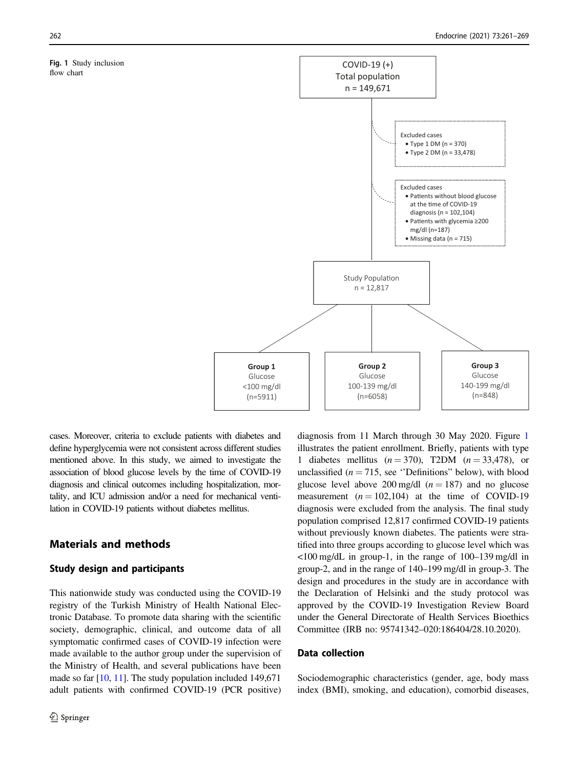#### Fig. 1 Study inclusion flow chart



cases. Moreover, criteria to exclude patients with diabetes and define hyperglycemia were not consistent across different studies mentioned above. In this study, we aimed to investigate the association of blood glucose levels by the time of COVID-19 diagnosis and clinical outcomes including hospitalization, mortality, and ICU admission and/or a need for mechanical ventilation in COVID-19 patients without diabetes mellitus.

# Materials and methods

## Study design and participants

This nationwide study was conducted using the COVID-19 registry of the Turkish Ministry of Health National Electronic Database. To promote data sharing with the scientific society, demographic, clinical, and outcome data of all symptomatic confirmed cases of COVID-19 infection were made available to the author group under the supervision of the Ministry of Health, and several publications have been made so far  $[10, 11]$  $[10, 11]$  $[10, 11]$ . The study population included 149,671 adult patients with confirmed COVID-19 (PCR positive) diagnosis from 11 March through 30 May 2020. Figure 1 illustrates the patient enrollment. Briefly, patients with type 1 diabetes mellitus  $(n = 370)$ , T2DM  $(n = 33,478)$ , or unclassified ( $n = 715$ , see "Definitions" below), with blood glucose level above 200 mg/dl  $(n = 187)$  and no glucose measurement  $(n = 102, 104)$  at the time of COVID-19 diagnosis were excluded from the analysis. The final study population comprised 12,817 confirmed COVID-19 patients without previously known diabetes. The patients were stratified into three groups according to glucose level which was <100 mg/dL in group-1, in the range of 100–139 mg/dl in group-2, and in the range of 140–199 mg/dl in group-3. The design and procedures in the study are in accordance with the Declaration of Helsinki and the study protocol was approved by the COVID-19 Investigation Review Board under the General Directorate of Health Services Bioethics Committee (IRB no: 95741342–020:186404/28.10.2020).

## Data collection

Sociodemographic characteristics (gender, age, body mass index (BMI), smoking, and education), comorbid diseases,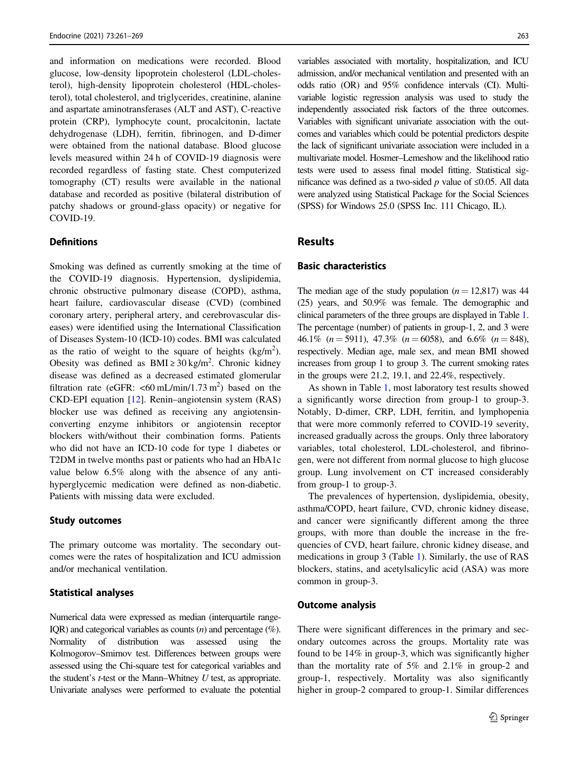and information on medications were recorded. Blood glucose, low-density lipoprotein cholesterol (LDL-cholesterol), high-density lipoprotein cholesterol (HDL-cholesterol), total cholesterol, and triglycerides, creatinine, alanine and aspartate aminotransferases (ALT and AST), C-reactive protein (CRP), lymphocyte count, procalcitonin, lactate dehydrogenase (LDH), ferritin, fibrinogen, and D-dimer were obtained from the national database. Blood glucose levels measured within 24 h of COVID-19 diagnosis were recorded regardless of fasting state. Chest computerized tomography (CT) results were available in the national database and recorded as positive (bilateral distribution of patchy shadows or ground-glass opacity) or negative for COVID-19.

## **Definitions**

Smoking was defined as currently smoking at the time of the COVID-19 diagnosis. Hypertension, dyslipidemia, chronic obstructive pulmonary disease (COPD), asthma, heart failure, cardiovascular disease (CVD) (combined coronary artery, peripheral artery, and cerebrovascular diseases) were identified using the International Classification of Diseases System-10 (ICD-10) codes. BMI was calculated as the ratio of weight to the square of heights  $(kg/m<sup>2</sup>)$ . Obesity was defined as  $BMI \ge 30$  kg/m<sup>2</sup>. Chronic kidney disease was defined as a decreased estimated glomerular filtration rate (eGFR:  $\leq 60 \text{ mL/min}/1.73 \text{ m}^2$ ) based on the CKD-EPI equation [[12\]](#page-7-0). Renin–angiotensin system (RAS) blocker use was defined as receiving any angiotensinconverting enzyme inhibitors or angiotensin receptor blockers with/without their combination forms. Patients who did not have an ICD-10 code for type 1 diabetes or T2DM in twelve months past or patients who had an HbA1c value below 6.5% along with the absence of any antihyperglycemic medication were defined as non-diabetic. Patients with missing data were excluded.

## Study outcomes

The primary outcome was mortality. The secondary outcomes were the rates of hospitalization and ICU admission and/or mechanical ventilation.

#### Statistical analyses

Numerical data were expressed as median (interquartile range-IQR) and categorical variables as counts  $(n)$  and percentage  $(\%)$ . Normality of distribution was assessed using the Kolmogorov–Smirnov test. Differences between groups were assessed using the Chi-square test for categorical variables and the student's  $t$ -test or the Mann–Whitney  $U$  test, as appropriate. Univariate analyses were performed to evaluate the potential

variables associated with mortality, hospitalization, and ICU admission, and/or mechanical ventilation and presented with an odds ratio (OR) and 95% confidence intervals (CI). Multivariable logistic regression analysis was used to study the independently associated risk factors of the three outcomes. Variables with significant univariate association with the outcomes and variables which could be potential predictors despite the lack of significant univariate association were included in a multivariate model. Hosmer–Lemeshow and the likelihood ratio tests were used to assess final model fitting. Statistical significance was defined as a two-sided p value of  $\leq 0.05$ . All data were analyzed using Statistical Package for the Social Sciences (SPSS) for Windows 25.0 (SPSS Inc. 111 Chicago, IL).

# Results

## Basic characteristics

The median age of the study population  $(n = 12,817)$  was 44 (25) years, and 50.9% was female. The demographic and clinical parameters of the three groups are displayed in Table [1.](#page-3-0) The percentage (number) of patients in group-1, 2, and 3 were 46.1% ( $n = 5911$ ), 47.3% ( $n = 6058$ ), and 6.6% ( $n = 848$ ), respectively. Median age, male sex, and mean BMI showed increases from group 1 to group 3. The current smoking rates in the groups were 21.2, 19.1, and 22.4%, respectively.

As shown in Table [1,](#page-3-0) most laboratory test results showed a significantly worse direction from group-1 to group-3. Notably, D-dimer, CRP, LDH, ferritin, and lymphopenia that were more commonly referred to COVID-19 severity, increased gradually across the groups. Only three laboratory variables, total cholesterol, LDL-cholesterol, and fibrinogen, were not different from normal glucose to high glucose group. Lung involvement on CT increased considerably from group-1 to group-3.

The prevalences of hypertension, dyslipidemia, obesity, asthma/COPD, heart failure, CVD, chronic kidney disease, and cancer were significantly different among the three groups, with more than double the increase in the frequencies of CVD, heart failure, chronic kidney disease, and medications in group 3 (Table [1\)](#page-3-0). Similarly, the use of RAS blockers, statins, and acetylsalicylic acid (ASA) was more common in group-3.

#### Outcome analysis

There were significant differences in the primary and secondary outcomes across the groups. Mortality rate was found to be 14% in group-3, which was significantly higher than the mortality rate of 5% and 2.1% in group-2 and group-1, respectively. Mortality was also significantly higher in group-2 compared to group-1. Similar differences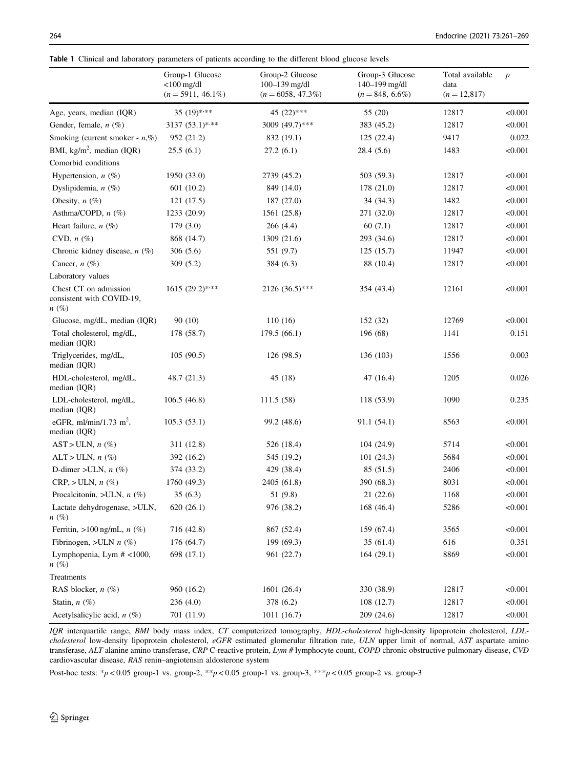<span id="page-3-0"></span>

|  |  |  |  | Table 1 Clinical and laboratory parameters of patients according to the different blood glucose levels |  |  |  |  |  |  |  |  |  |  |
|--|--|--|--|--------------------------------------------------------------------------------------------------------|--|--|--|--|--|--|--|--|--|--|
|--|--|--|--|--------------------------------------------------------------------------------------------------------|--|--|--|--|--|--|--|--|--|--|

|                                                                 | Group-1 Glucose<br>$<$ 100 mg/dl<br>$(n=5911, 46.1\%)$ | Group-2 Glucose<br>100-139 mg/dl<br>$(n = 6058, 47.3\%)$ | Group-3 Glucose<br>140-199 mg/dl<br>$(n = 848, 6.6\%)$ | Total available<br>data<br>$(n = 12,817)$ | $\boldsymbol{p}$ |
|-----------------------------------------------------------------|--------------------------------------------------------|----------------------------------------------------------|--------------------------------------------------------|-------------------------------------------|------------------|
| Age, years, median (IQR)                                        | 35 $(19)$ ***                                          | 45 (22)***                                               | 55 (20)                                                | 12817                                     | < 0.001          |
| Gender, female, $n$ (%)                                         | $3137(53.1)$ ***                                       | 3009 (49.7)***                                           | 383 (45.2)                                             | 12817                                     | < 0.001          |
| Smoking (current smoker - $n$ ,%)                               | 952 (21.2)                                             | 832 (19.1)                                               | 125(22.4)                                              | 9417                                      | 0.022            |
| BMI, kg/m <sup>2</sup> , median (IQR)                           | 25.5(6.1)                                              | 27.2(6.1)                                                | 28.4(5.6)                                              | 1483                                      | < 0.001          |
| Comorbid conditions                                             |                                                        |                                                          |                                                        |                                           |                  |
| Hypertension, $n$ (%)                                           | 1950 (33.0)                                            | 2739 (45.2)                                              | 503 (59.3)                                             | 12817                                     | < 0.001          |
| Dyslipidemia, $n$ (%)                                           | 601 (10.2)                                             | 849 (14.0)                                               | 178 (21.0)                                             | 12817                                     | < 0.001          |
| Obesity, $n$ (%)                                                | 121 (17.5)                                             | 187 (27.0)                                               | 34 (34.3)                                              | 1482                                      | < 0.001          |
| Asthma/COPD, n (%)                                              | 1233 (20.9)                                            | 1561 (25.8)                                              | 271 (32.0)                                             | 12817                                     | < 0.001          |
| Heart failure, $n$ (%)                                          | 179(3.0)                                               | 266(4.4)                                                 | 60(7.1)                                                | 12817                                     | < 0.001          |
| CVD, $n$ $(\%)$                                                 | 868 (14.7)                                             | 1309 (21.6)                                              | 293 (34.6)                                             | 12817                                     | < 0.001          |
| Chronic kidney disease, $n$ (%)                                 | 306(5.6)                                               | 551 (9.7)                                                | 125(15.7)                                              | 11947                                     | < 0.001          |
| Cancer, $n$ (%)                                                 | 309(5.2)                                               | 384 (6.3)                                                | 88 (10.4)                                              | 12817                                     | < 0.001          |
| Laboratory values                                               |                                                        |                                                          |                                                        |                                           |                  |
| Chest CT on admission<br>consistent with COVID-19,<br>$n\ (\%)$ | $1615 (29.2)$ ***                                      | $2126(36.5)$ ***                                         | 354 (43.4)                                             | 12161                                     | < 0.001          |
| Glucose, mg/dL, median (IQR)                                    | 90(10)                                                 | 110(16)                                                  | 152 (32)                                               | 12769                                     | < 0.001          |
| Total cholesterol, mg/dL,<br>median (IQR)                       | 178 (58.7)                                             | 179.5(66.1)                                              | 196 (68)                                               | 1141                                      | 0.151            |
| Triglycerides, mg/dL,<br>median (IQR)                           | 105(90.5)                                              | 126 (98.5)                                               | 136 (103)                                              | 1556                                      | 0.003            |
| HDL-cholesterol, mg/dL,<br>median (IQR)                         | 48.7 (21.3)                                            | 45(18)                                                   | 47 $(16.4)$                                            | 1205                                      | 0.026            |
| LDL-cholesterol, mg/dL,<br>median (IQR)                         | 106.5(46.8)                                            | 111.5(58)                                                | 118 (53.9)                                             | 1090                                      | 0.235            |
| eGFR, ml/min/1.73 m <sup>2</sup> ,<br>median (IQR)              | 105.3(53.1)                                            | 99.2 (48.6)                                              | 91.1 (54.1)                                            | 8563                                      | < 0.001          |
| $AST > ULN, n (\%)$                                             | 311 (12.8)                                             | 526 (18.4)                                               | 104(24.9)                                              | 5714                                      | < 0.001          |
| $ALT > ULN, n(\%)$                                              | 392 (16.2)                                             | 545 (19.2)                                               | 101(24.3)                                              | 5684                                      | < 0.001          |
| D-dimer >ULN, $n$ (%)                                           | 374 (33.2)                                             | 429 (38.4)                                               | 85 (51.5)                                              | 2406                                      | < 0.001          |
| $CRP, > ULN, n (\%)$                                            | 1760 (49.3)                                            | 2405 (61.8)                                              | 390 (68.3)                                             | 8031                                      | < 0.001          |
| Procalcitonin, >ULN, $n$ (%)                                    | 35(6.3)                                                | 51 (9.8)                                                 | 21(22.6)                                               | 1168                                      | < 0.001          |
| Lactate dehydrogenase, >ULN,<br>$n\ (\%)$                       | 620(26.1)                                              | 976 (38.2)                                               | 168 (46.4)                                             | 5286                                      | < 0.001          |
| Ferritin, $>100$ ng/mL, $n$ (%)                                 | 716 (42.8)                                             | 867 (52.4)                                               | 159 (67.4)                                             | 3565                                      | < 0.001          |
| Fibrinogen, >ULN $n$ (%)                                        | 176 (64.7)                                             | 199 (69.3)                                               | 35(61.4)                                               | 616                                       | 0.351            |
| Lymphopenia, Lym # <1000,<br>$n\ (\%)$                          | 698 (17.1)                                             | 961 (22.7)                                               | 164(29.1)                                              | 8869                                      | < 0.001          |
| Treatments                                                      |                                                        |                                                          |                                                        |                                           |                  |
| RAS blocker, $n$ (%)                                            | 960 (16.2)                                             | 1601 (26.4)                                              | 330 (38.9)                                             | 12817                                     | < 0.001          |
| Statin, $n$ (%)                                                 | 236(4.0)                                               | 378 (6.2)                                                | 108(12.7)                                              | 12817                                     | < 0.001          |
| Acetylsalicylic acid, $n$ (%)                                   | 701 (11.9)                                             | 1011 (16.7)                                              | 209 (24.6)                                             | 12817                                     | < 0.001          |

IQR interquartile range, BMI body mass index, CT computerized tomography, HDL-cholesterol high-density lipoprotein cholesterol, LDLcholesterol low-density lipoprotein cholesterol, eGFR estimated glomerular filtration rate, ULN upper limit of normal, AST aspartate amino transferase, ALT alanine amino transferase, CRP C-reactive protein, Lym # lymphocyte count, COPD chronic obstructive pulmonary disease, CVD cardiovascular disease, RAS renin–angiotensin aldosterone system

Post-hoc tests: \*p < 0.05 group-1 vs. group-2, \*\*p < 0.05 group-1 vs. group-3, \*\*\*p < 0.05 group-2 vs. group-3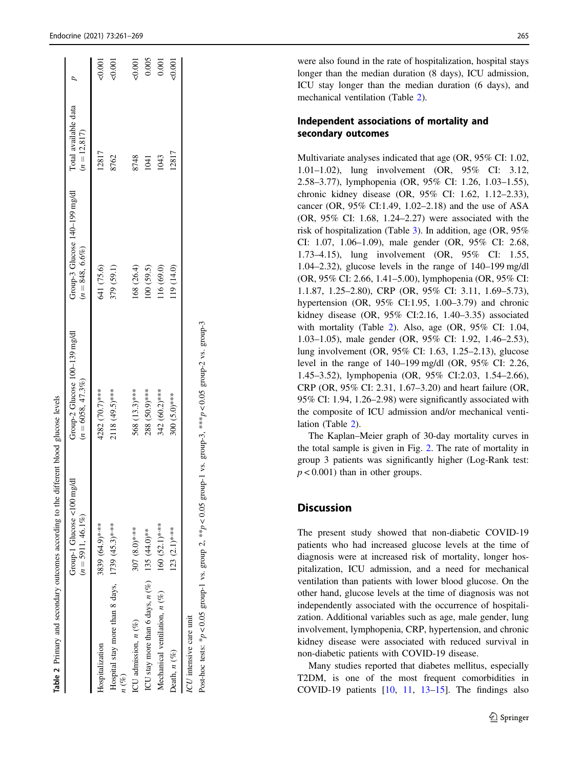|                                                                | Group-1 Glucose $\lt 100$ mg/dl<br>$(n = 5911, 46.1\%)$ | Group-2 Glucose $100-139$ mg/dl<br>$(n = 6058, 47.3\%)$ | Group-3 Glucose $140-199$ mg/dl<br>$(n = 848, 6.6\%)$ | Total available data<br>$(n = 12, 817)$ |        |
|----------------------------------------------------------------|---------------------------------------------------------|---------------------------------------------------------|-------------------------------------------------------|-----------------------------------------|--------|
| Hospitalization                                                | 3839 (64.9)****                                         | 4282 (70.7)***                                          | 641 (75.6)                                            | 12817                                   | 0.001  |
| Hospital stay more than 8 days, $1739$ (45.3)****<br>$n\ (\%)$ |                                                         | 2118 (49.5)***                                          | 379 (59.1)                                            | 8762                                    | 50.001 |
| ICU admission, n (%)                                           | 307 $(8.0)$ ****                                        | 568 (13.3)***                                           | 168 (26.4)                                            | 8748                                    | 20.001 |
| ICU stay more than 6 days, $n (%)$ 135 (44.0)**                |                                                         | 288 (50.9)***                                           | 100(59.5)                                             | 1041                                    | 0.005  |
| Mechanical ventilation, $n$ (%)                                | 160 (52.1)****                                          | 342 (60.2)***                                           | 16 (69.0)                                             | <b>1043</b>                             | 0.001  |
| Death, $n$ $(\%)$                                              | 123 $(2.1)$ ***                                         | 300 (5.0)***                                            | 19 (14.0)                                             | 12817                                   | 50,001 |

were also found in the rate of hospitalization, hospital stays longer than the median duration (8 days), ICU admission, ICU stay longer than the median duration (6 days), and mechanical ventilation (Table 2).

# Independent associations of mortality and secondary outcomes

Multivariate analyses indicated that age (OR, 95% CI: 1.02, 1.01 –1.02), lung involvement (OR, 95% CI: 3.12, 2.58 –3.77), lymphopenia (OR, 95% CI: 1.26, 1.03 –1.55), chronic kidney disease (OR, 95% CI: 1.62, 1.12 –2.33), cancer (OR, 95% CI:1.49, 1.02 –2.18) and the use of ASA (OR, 95% CI: 1.68, 1.24 –2.27) were associated with the risk of hospitalization (Table [3](#page-5-0)). In addition, age (OR, 95% CI: 1.07, 1.06 –1.09), male gender (OR, 95% CI: 2.68, 1.73 –4.15), lung involvement (OR, 95% CI: 1.55, 1.04 –2.32), glucose levels in the range of 140 –199 mg/dl (OR, 95% CI: 2.66, 1.41 –5.00), lymphopenia (OR, 95% CI: 1.1.87, 1.25 –2.80), CRP (OR, 95% CI: 3.11, 1.69 –5.73), hypertension (OR, 95% CI:1.95, 1.00 –3.79) and chronic kidney disease (OR, 95% CI:2.16, 1.40 –3.35) associated with mortality (Table 2). Also, age (OR, 95% CI: 1.04, 1.03 –1.05), male gender (OR, 95% CI: 1.92, 1.46 –2.53), lung involvement (OR, 95% CI: 1.63, 1.25 –2.13), glucose level in the range of 140 –199 mg/dl (OR, 95% CI: 2.26, 1.45 –3.52), lymphopenia (OR, 95% CI:2.03, 1.54 –2.66), CRP (OR, 95% CI: 2.31, 1.67 –3.20) and heart failure (OR, 95% CI: 1.94, 1.26 –2.98) were signi ficantly associated with the composite of ICU admission and/or mechanical ventilation (Table 2).

The Kaplan –Meier graph of 30-day mortality curves in the total sample is given in Fig. [2](#page-6-0). The rate of mortality in group 3 patients was signi ficantly higher (Log-Rank test:  $p < 0.001$ ) than in other groups.

# **Discussion**

The present study showed that non-diabetic COVID-19 patients who had increased glucose levels at the time of diagnosis were at increased risk of mortality, longer hospitalization, ICU admission, and a need for mechanical ventilation than patients with lower blood glucose. On the other hand, glucose levels at the time of diagnosis was not independently associated with the occurrence of hospitalization. Additional variables such as age, male gender, lung involvement, lymphopenia, CRP, hypertension, and chronic kidney disease were associated with reduced survival in non-diabetic patients with COVID-19 disease.

Many studies reported that diabetes mellitus, especially T2DM, is one of the most frequent comorbidities in COVID-19 patients  $[10, 11, 13-15]$  $[10, 11, 13-15]$  $[10, 11, 13-15]$  $[10, 11, 13-15]$  $[10, 11, 13-15]$  $[10, 11, 13-15]$  $[10, 11, 13-15]$ . The findings also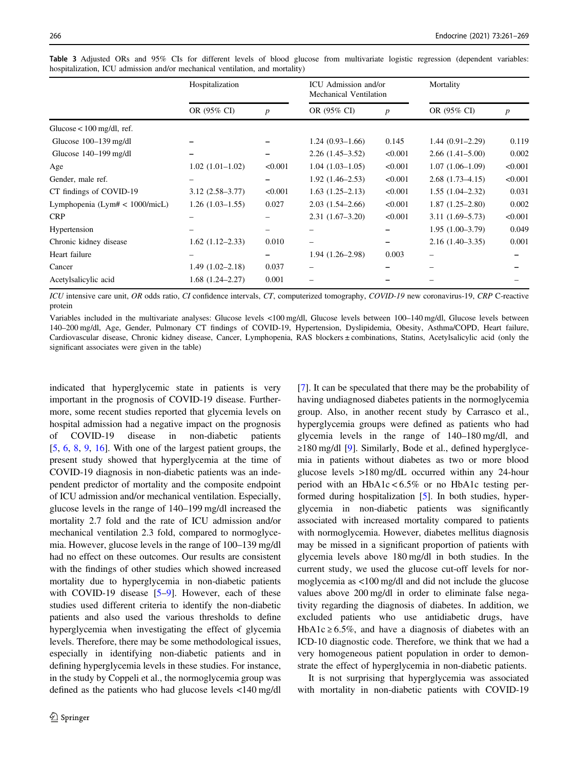|                                   | Hospitalization        |                  | ICU Admission and/or<br>Mechanical Ventilation |                  | Mortality           |                  |
|-----------------------------------|------------------------|------------------|------------------------------------------------|------------------|---------------------|------------------|
|                                   | OR (95% CI)            | $\boldsymbol{p}$ | OR (95% CI)                                    | $\boldsymbol{p}$ | OR (95% CI)         | $\boldsymbol{p}$ |
| Glucose $< 100$ mg/dl, ref.       |                        |                  |                                                |                  |                     |                  |
| Glucose $100-139$ mg/dl           |                        |                  | $1.24(0.93-1.66)$                              | 0.145            | $1.44(0.91-2.29)$   | 0.119            |
| Glucose $140-199$ mg/dl           |                        |                  | $2.26(1.45-3.52)$                              | < 0.001          | $2.66(1.41-5.00)$   | 0.002            |
| Age                               | $1.02(1.01-1.02)$      | < 0.001          | $1.04(1.03-1.05)$                              | < 0.001          | $1.07(1.06-1.09)$   | < 0.001          |
| Gender, male ref.                 |                        |                  | $1.92(1.46-2.53)$                              | < 0.001          | $2.68(1.73-4.15)$   | < 0.001          |
| CT findings of COVID-19           | $3.12(2.58 - 3.77)$    | < 0.001          | $1.63(1.25-2.13)$                              | < 0.001          | $1.55(1.04-2.32)$   | 0.031            |
| Lymphopenia (Lym# $< 1000$ /micL) | $1.26(1.03-1.55)$      | 0.027            | $2.03(1.54 - 2.66)$                            | < 0.001          | $1.87(1.25-2.80)$   | 0.002            |
| <b>CRP</b>                        |                        |                  | $2.31(1.67-3.20)$                              | < 0.001          | $3.11(1.69 - 5.73)$ | < 0.001          |
| Hypertension                      |                        |                  |                                                |                  | $1.95(1.00-3.79)$   | 0.049            |
| Chronic kidney disease            | $1.62$ $(1.12 - 2.33)$ | 0.010            |                                                |                  | $2.16(1.40-3.35)$   | 0.001            |
| Heart failure                     |                        |                  | $1.94(1.26-2.98)$                              | 0.003            |                     |                  |
| Cancer                            | $1.49(1.02 - 2.18)$    | 0.037            |                                                |                  |                     |                  |
| Acetylsalicylic acid              | $1.68(1.24 - 2.27)$    | 0.001            |                                                |                  |                     |                  |

<span id="page-5-0"></span>Table 3 Adjusted ORs and 95% CIs for different levels of blood glucose from multivariate logistic regression (dependent variables: hospitalization, ICU admission and/or mechanical ventilation, and mortality)

ICU intensive care unit, OR odds ratio, CI confidence intervals, CT, computerized tomography, COVID-19 new coronavirus-19, CRP C-reactive protein

Variables included in the multivariate analyses: Glucose levels <100 mg/dl, Glucose levels between 100–140 mg/dl, Glucose levels between 140–200 mg/dl, Age, Gender, Pulmonary CT findings of COVID-19, Hypertension, Dyslipidemia, Obesity, Asthma/COPD, Heart failure, Cardiovascular disease, Chronic kidney disease, Cancer, Lymphopenia, RAS blockers ± combinations, Statins, Acetylsalicylic acid (only the significant associates were given in the table)

indicated that hyperglycemic state in patients is very important in the prognosis of COVID-19 disease. Furthermore, some recent studies reported that glycemia levels on hospital admission had a negative impact on the prognosis of COVID-19 disease in non-diabetic patients [\[5](#page-7-0), [6](#page-7-0), [8,](#page-7-0) [9,](#page-7-0) [16\]](#page-7-0). With one of the largest patient groups, the present study showed that hyperglycemia at the time of COVID-19 diagnosis in non-diabetic patients was an independent predictor of mortality and the composite endpoint of ICU admission and/or mechanical ventilation. Especially, glucose levels in the range of 140–199 mg/dl increased the mortality 2.7 fold and the rate of ICU admission and/or mechanical ventilation 2.3 fold, compared to normoglycemia. However, glucose levels in the range of 100–139 mg/dl had no effect on these outcomes. Our results are consistent with the findings of other studies which showed increased mortality due to hyperglycemia in non-diabetic patients with COVID-19 disease [\[5](#page-7-0)–[9](#page-7-0)]. However, each of these studies used different criteria to identify the non-diabetic patients and also used the various thresholds to define hyperglycemia when investigating the effect of glycemia levels. Therefore, there may be some methodological issues, especially in identifying non-diabetic patients and in defining hyperglycemia levels in these studies. For instance, in the study by Coppeli et al., the normoglycemia group was defined as the patients who had glucose levels <140 mg/dl

[\[7](#page-7-0)]. It can be speculated that there may be the probability of having undiagnosed diabetes patients in the normoglycemia group. Also, in another recent study by Carrasco et al., hyperglycemia groups were defined as patients who had glycemia levels in the range of 140–180 mg/dl, and ≥180 mg/dl [[9\]](#page-7-0). Similarly, Bode et al., defined hyperglycemia in patients without diabetes as two or more blood glucose levels >180 mg/dL occurred within any 24-hour period with an  $HbA1c < 6.5\%$  or no  $HbA1c$  testing performed during hospitalization [[5\]](#page-7-0). In both studies, hyperglycemia in non-diabetic patients was significantly associated with increased mortality compared to patients with normoglycemia. However, diabetes mellitus diagnosis may be missed in a significant proportion of patients with glycemia levels above 180 mg/dl in both studies. In the current study, we used the glucose cut-off levels for normoglycemia as <100 mg/dl and did not include the glucose values above 200 mg/dl in order to eliminate false negativity regarding the diagnosis of diabetes. In addition, we excluded patients who use antidiabetic drugs, have HbA1c  $\geq 6.5\%$ , and have a diagnosis of diabetes with an ICD-10 diagnostic code. Therefore, we think that we had a very homogeneous patient population in order to demonstrate the effect of hyperglycemia in non-diabetic patients.

It is not surprising that hyperglycemia was associated with mortality in non-diabetic patients with COVID-19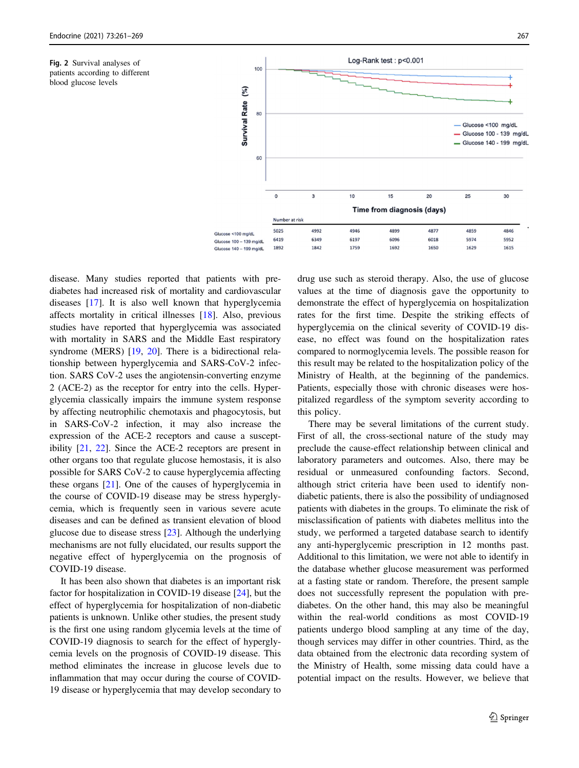<span id="page-6-0"></span>Fig. 2 Survival analyses of patients according to different blood glucose levels



disease. Many studies reported that patients with prediabetes had increased risk of mortality and cardiovascular diseases [[17\]](#page-7-0). It is also well known that hyperglycemia affects mortality in critical illnesses [[18\]](#page-7-0). Also, previous studies have reported that hyperglycemia was associated with mortality in SARS and the Middle East respiratory syndrome (MERS) [[19,](#page-7-0) [20](#page-7-0)]. There is a bidirectional relationship between hyperglycemia and SARS-CoV-2 infection. SARS CoV-2 uses the angiotensin-converting enzyme 2 (ACE-2) as the receptor for entry into the cells. Hyperglycemia classically impairs the immune system response by affecting neutrophilic chemotaxis and phagocytosis, but in SARS-CoV-2 infection, it may also increase the expression of the ACE-2 receptors and cause a susceptibility [[21,](#page-7-0) [22](#page-7-0)]. Since the ACE-2 receptors are present in other organs too that regulate glucose hemostasis, it is also possible for SARS CoV-2 to cause hyperglycemia affecting these organs [[21\]](#page-7-0). One of the causes of hyperglycemia in the course of COVID-19 disease may be stress hyperglycemia, which is frequently seen in various severe acute diseases and can be defined as transient elevation of blood glucose due to disease stress [[23\]](#page-7-0). Although the underlying mechanisms are not fully elucidated, our results support the negative effect of hyperglycemia on the prognosis of COVID-19 disease.

It has been also shown that diabetes is an important risk factor for hospitalization in COVID-19 disease [\[24](#page-8-0)], but the effect of hyperglycemia for hospitalization of non-diabetic patients is unknown. Unlike other studies, the present study is the first one using random glycemia levels at the time of COVID-19 diagnosis to search for the effect of hyperglycemia levels on the prognosis of COVID-19 disease. This method eliminates the increase in glucose levels due to inflammation that may occur during the course of COVID-19 disease or hyperglycemia that may develop secondary to drug use such as steroid therapy. Also, the use of glucose values at the time of diagnosis gave the opportunity to demonstrate the effect of hyperglycemia on hospitalization rates for the first time. Despite the striking effects of hyperglycemia on the clinical severity of COVID-19 disease, no effect was found on the hospitalization rates compared to normoglycemia levels. The possible reason for this result may be related to the hospitalization policy of the Ministry of Health, at the beginning of the pandemics. Patients, especially those with chronic diseases were hospitalized regardless of the symptom severity according to this policy.

There may be several limitations of the current study. First of all, the cross-sectional nature of the study may preclude the cause-effect relationship between clinical and laboratory parameters and outcomes. Also, there may be residual or unmeasured confounding factors. Second, although strict criteria have been used to identify nondiabetic patients, there is also the possibility of undiagnosed patients with diabetes in the groups. To eliminate the risk of misclassification of patients with diabetes mellitus into the study, we performed a targeted database search to identify any anti-hyperglycemic prescription in 12 months past. Additional to this limitation, we were not able to identify in the database whether glucose measurement was performed at a fasting state or random. Therefore, the present sample does not successfully represent the population with prediabetes. On the other hand, this may also be meaningful within the real-world conditions as most COVID-19 patients undergo blood sampling at any time of the day, though services may differ in other countries. Third, as the data obtained from the electronic data recording system of the Ministry of Health, some missing data could have a potential impact on the results. However, we believe that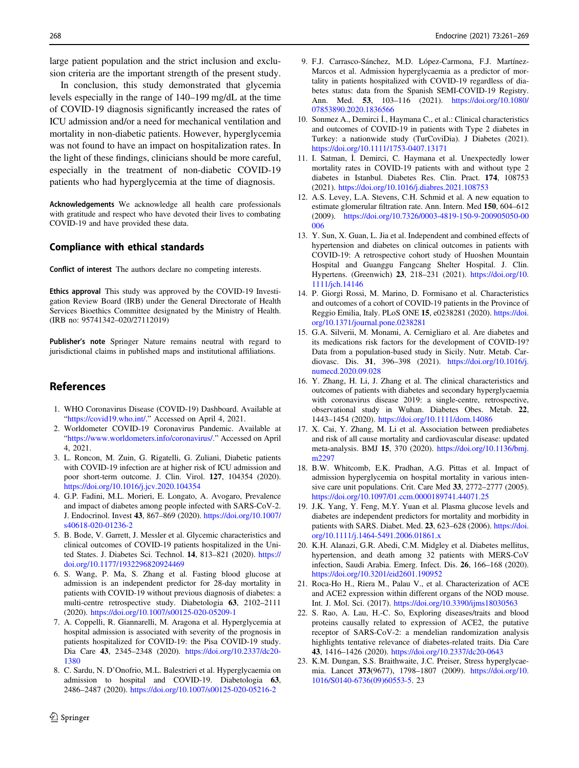<span id="page-7-0"></span>large patient population and the strict inclusion and exclusion criteria are the important strength of the present study.

In conclusion, this study demonstrated that glycemia levels especially in the range of 140–199 mg/dL at the time of COVID-19 diagnosis significantly increased the rates of ICU admission and/or a need for mechanical ventilation and mortality in non-diabetic patients. However, hyperglycemia was not found to have an impact on hospitalization rates. In the light of these findings, clinicians should be more careful, especially in the treatment of non-diabetic COVID-19 patients who had hyperglycemia at the time of diagnosis.

Acknowledgements We acknowledge all health care professionals with gratitude and respect who have devoted their lives to combating COVID-19 and have provided these data.

## Compliance with ethical standards

Conflict of interest The authors declare no competing interests.

Ethics approval This study was approved by the COVID-19 Investigation Review Board (IRB) under the General Directorate of Health Services Bioethics Committee designated by the Ministry of Health. (IRB no: 95741342–020/27112019)

Publisher's note Springer Nature remains neutral with regard to jurisdictional claims in published maps and institutional affiliations.

# References

- 1. WHO Coronavirus Disease (COVID-19) Dashboard. Available at "[https://covid19.who.int/.](https://covid19.who.int/)" Accessed on April 4, 2021.
- 2. Worldometer COVID-19 Coronavirus Pandemic. Available at "<https://www.worldometers.info/coronavirus/>." Accessed on April 4, 2021.
- 3. L. Roncon, M. Zuin, G. Rigatelli, G. Zuliani, Diabetic patients with COVID-19 infection are at higher risk of ICU admission and poor short-term outcome. J. Clin. Virol. 127, 104354 (2020). <https://doi.org/10.1016/j.jcv.2020.104354>
- 4. G.P. Fadini, M.L. Morieri, E. Longato, A. Avogaro, Prevalence and impact of diabetes among people infected with SARS-CoV-2. J. Endocrinol. Invest 43, 867–869 (2020). [https://doi.org/10.1007/](https://doi.org/10.1007/s40618-020-01236-2) [s40618-020-01236-2](https://doi.org/10.1007/s40618-020-01236-2)
- 5. B. Bode, V. Garrett, J. Messler et al. Glycemic characteristics and clinical outcomes of COVID-19 patients hospitalized in the United States. J. Diabetes Sci. Technol. 14, 813–821 (2020). [https://](https://doi.org/10.1177/1932296820924469) [doi.org/10.1177/1932296820924469](https://doi.org/10.1177/1932296820924469)
- 6. S. Wang, P. Ma, S. Zhang et al. Fasting blood glucose at admission is an independent predictor for 28-day mortality in patients with COVID-19 without previous diagnosis of diabetes: a multi-centre retrospective study. Diabetologia 63, 2102–2111 (2020). <https://doi.org/10.1007/s00125-020-05209-1>
- 7. A. Coppelli, R. Giannarelli, M. Aragona et al. Hyperglycemia at hospital admission is associated with severity of the prognosis in patients hospitalized for COVID-19: the Pisa COVID-19 study. Dia Care 43, 2345–2348 (2020). [https://doi.org/10.2337/dc20-](https://doi.org/10.2337/dc20-1380) [1380](https://doi.org/10.2337/dc20-1380)
- 8. C. Sardu, N. D'Onofrio, M.L. Balestrieri et al. Hyperglycaemia on admission to hospital and COVID-19. Diabetologia 63, 2486–2487 (2020). <https://doi.org/10.1007/s00125-020-05216-2>
- 9. F.J. Carrasco-Sánchez, M.D. López-Carmona, F.J. Martínez-Marcos et al. Admission hyperglycaemia as a predictor of mortality in patients hospitalized with COVID-19 regardless of diabetes status: data from the Spanish SEMI-COVID-19 Registry. Ann. Med. 53, 103–116 (2021). [https://doi.org/10.1080/](https://doi.org/10.1080/07853890.2020.1836566) [07853890.2020.1836566](https://doi.org/10.1080/07853890.2020.1836566)
- 10. Sonmez A., Demirci İ., Haymana C., et al.: Clinical characteristics and outcomes of COVID-19 in patients with Type 2 diabetes in Turkey: a nationwide study (TurCoviDia). J Diabetes (2021). <https://doi.org/10.1111/1753-0407.13171>
- 11. I. Satman, İ. Demirci, C. Haymana et al. Unexpectedly lower mortality rates in COVID-19 patients with and without type 2 diabetes in Istanbul. Diabetes Res. Clin. Pract. 174, 108753 (2021). <https://doi.org/10.1016/j.diabres.2021.108753>
- 12. A.S. Levey, L.A. Stevens, C.H. Schmid et al. A new equation to estimate glomerular filtration rate. Ann. Intern. Med 150, 604–612 (2009). [https://doi.org/10.7326/0003-4819-150-9-200905050-00](https://doi.org/10.7326/0003-4819-150-9-200905050-00006) [006](https://doi.org/10.7326/0003-4819-150-9-200905050-00006)
- 13. Y. Sun, X. Guan, L. Jia et al. Independent and combined effects of hypertension and diabetes on clinical outcomes in patients with COVID-19: A retrospective cohort study of Huoshen Mountain Hospital and Guanggu Fangcang Shelter Hospital. J. Clin. Hypertens. (Greenwich) 23, 218–231 (2021). [https://doi.org/10.](https://doi.org/10.1111/jch.14146) [1111/jch.14146](https://doi.org/10.1111/jch.14146)
- 14. P. Giorgi Rossi, M. Marino, D. Formisano et al. Characteristics and outcomes of a cohort of COVID-19 patients in the Province of Reggio Emilia, Italy. PLoS ONE 15, e0238281 (2020). [https://doi.](https://doi.org/10.1371/journal.pone.0238281) [org/10.1371/journal.pone.0238281](https://doi.org/10.1371/journal.pone.0238281)
- 15. G.A. Silverii, M. Monami, A. Cernigliaro et al. Are diabetes and its medications risk factors for the development of COVID-19? Data from a population-based study in Sicily. Nutr. Metab. Cardiovasc. Dis. 31, 396–398 (2021). [https://doi.org/10.1016/j.](https://doi.org/10.1016/j.numecd.2020.09.028) [numecd.2020.09.028](https://doi.org/10.1016/j.numecd.2020.09.028)
- 16. Y. Zhang, H. Li, J. Zhang et al. The clinical characteristics and outcomes of patients with diabetes and secondary hyperglycaemia with coronavirus disease 2019: a single-centre, retrospective, observational study in Wuhan. Diabetes Obes. Metab. 22, 1443–1454 (2020). <https://doi.org/10.1111/dom.14086>
- 17. X. Cai, Y. Zhang, M. Li et al. Association between prediabetes and risk of all cause mortality and cardiovascular disease: updated meta-analysis. BMJ 15, 370 (2020). [https://doi.org/10.1136/bmj.](https://doi.org/10.1136/bmj.m2297) [m2297](https://doi.org/10.1136/bmj.m2297)
- 18. B.W. Whitcomb, E.K. Pradhan, A.G. Pittas et al. Impact of admission hyperglycemia on hospital mortality in various intensive care unit populations. Crit. Care Med 33, 2772–2777 (2005). <https://doi.org/10.1097/01.ccm.0000189741.44071.25>
- 19. J.K. Yang, Y. Feng, M.Y. Yuan et al. Plasma glucose levels and diabetes are independent predictors for mortality and morbidity in patients with SARS. Diabet. Med. 23, 623–628 (2006). [https://doi.](https://doi.org/10.1111/j.1464-5491.2006.01861.x) [org/10.1111/j.1464-5491.2006.01861.x](https://doi.org/10.1111/j.1464-5491.2006.01861.x)
- 20. K.H. Alanazi, G.R. Abedi, C.M. Midgley et al. Diabetes mellitus, hypertension, and death among 32 patients with MERS-CoV infection, Saudi Arabia. Emerg. Infect. Dis. 26, 166–168 (2020). <https://doi.org/10.3201/eid2601.190952>
- 21. Roca-Ho H., Riera M., Palau V., et al. Characterization of ACE and ACE2 expression within different organs of the NOD mouse. Int. J. Mol. Sci. (2017). <https://doi.org/10.3390/ijms18030563>
- 22. S. Rao, A. Lau, H.-C. So, Exploring diseases/traits and blood proteins causally related to expression of ACE2, the putative receptor of SARS-CoV-2: a mendelian randomization analysis highlights tentative relevance of diabetes-related traits. Dia Care 43, 1416–1426 (2020). <https://doi.org/10.2337/dc20-0643>
- 23. K.M. Dungan, S.S. Braithwaite, J.C. Preiser, Stress hyperglycaemia. Lancet 373(9677), 1798–1807 (2009). [https://doi.org/10.](https://doi.org/10.1016/S0140-6736(09)60553-5) [1016/S0140-6736\(09\)60553-5.](https://doi.org/10.1016/S0140-6736(09)60553-5) 23